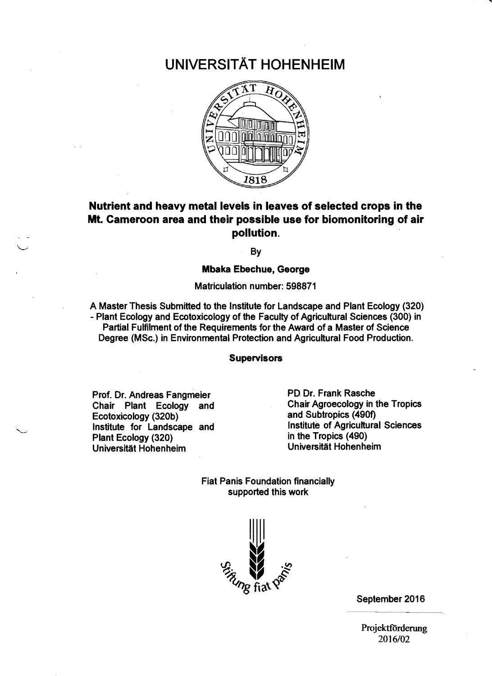# UNIVERSITÄT HOHENHEIM



## Nutrient and heavy metal levels in leaves of selected crops in the Mt. Cameroon area and their possible use for biomonitoring of air pollution.

By

#### Mbaka Ebechue, George

Matriculation number: 598871

A Master Thesis Submitted to the Institute for Landscape and Plant Ecology (320) - Plant Ecology and Ecotoxicology of the Faculty of Agricultural Sciences (300) in Partial Fulfilment of the Requirements for the Award of a Master of Science Degree (MSc.) in Environmental Protection and Agricultural Food Production.

#### Supervisors

Prof. Dr. Andreas Fangmeier Chair Plant Ecology and Ecotoxicology (320b) Institute for Landscape and Plant Ecology (320) Universität Hohenheim

PD Dr. Frank Rasche Chair Agroecology in the Tropics and Subtropics (490f) Institute of Agricultural Sciences in the Tropics (490) Universität Hohenheim

Fiat Panis Foundation financially supported this work



September 2016

Projektförderung 2016/02